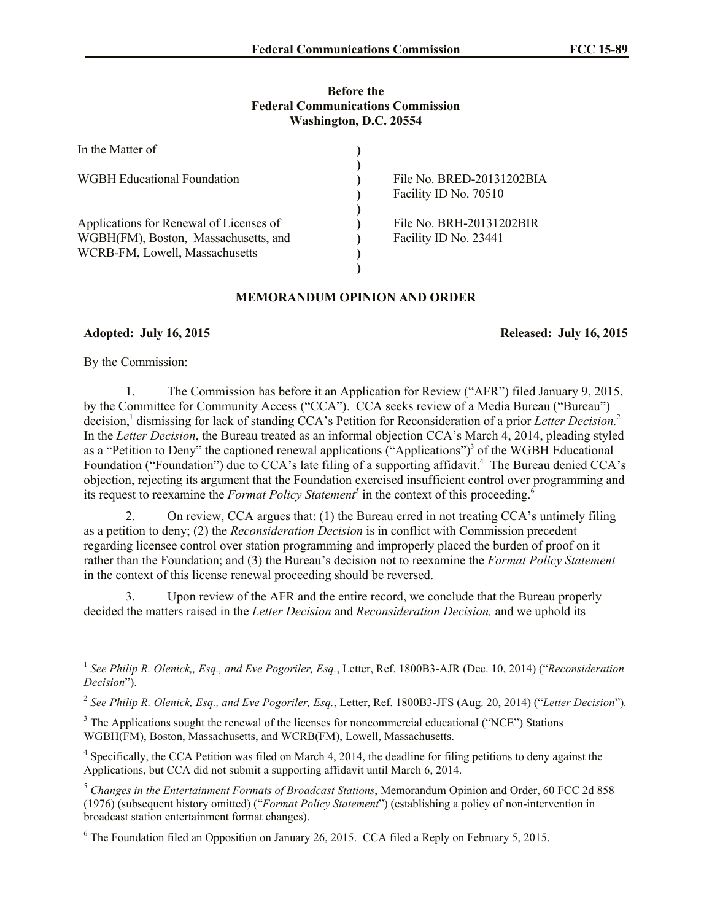### **Before the Federal Communications Commission Washington, D.C. 20554**

| In the Matter of                        |                           |
|-----------------------------------------|---------------------------|
| <b>WGBH</b> Educational Foundation      | File No. BRED-20131202BIA |
|                                         | Facility ID No. 70510     |
|                                         |                           |
| Applications for Renewal of Licenses of | File No. BRH-20131202BIR  |
| WGBH(FM), Boston, Massachusetts, and    | Facility ID No. 23441     |
| WCRB-FM, Lowell, Massachusetts          |                           |
|                                         |                           |

# **MEMORANDUM OPINION AND ORDER**

# **Adopted: July 16, 2015 Released: July 16, 2015**

By the Commission:

1. The Commission has before it an Application for Review ("AFR") filed January 9, 2015, by the Committee for Community Access ("CCA"). CCA seeks review of a Media Bureau ("Bureau") decision, 1 dismissing for lack of standing CCA's Petition for Reconsideration of a prior *Letter Decision.*<sup>2</sup> In the *Letter Decision*, the Bureau treated as an informal objection CCA's March 4, 2014, pleading styled as a "Petition to Deny" the captioned renewal applications ("Applications")<sup>3</sup> of the WGBH Educational Foundation ("Foundation") due to CCA's late filing of a supporting affidavit.<sup>4</sup> The Bureau denied CCA's objection, rejecting its argument that the Foundation exercised insufficient control over programming and its request to reexamine the *Format Policy Statement*<sup>5</sup> in the context of this proceeding.<sup>6</sup>

2. On review, CCA argues that: (1) the Bureau erred in not treating CCA's untimely filing as a petition to deny; (2) the *Reconsideration Decision* is in conflict with Commission precedent regarding licensee control over station programming and improperly placed the burden of proof on it rather than the Foundation; and (3) the Bureau's decision not to reexamine the *Format Policy Statement* in the context of this license renewal proceeding should be reversed.

3. Upon review of the AFR and the entire record, we conclude that the Bureau properly decided the matters raised in the *Letter Decision* and *Reconsideration Decision,* and we uphold its

 1 *See Philip R. Olenick,, Esq., and Eve Pogoriler, Esq.*, Letter, Ref. 1800B3-AJR (Dec. 10, 2014) ("*Reconsideration Decision*").

<sup>2</sup> *See Philip R. Olenick, Esq., and Eve Pogoriler, Esq.*, Letter, Ref. 1800B3-JFS (Aug. 20, 2014) ("*Letter Decision*")*.* 

<sup>&</sup>lt;sup>3</sup> The Applications sought the renewal of the licenses for noncommercial educational ("NCE") Stations WGBH(FM), Boston, Massachusetts, and WCRB(FM), Lowell, Massachusetts.

<sup>&</sup>lt;sup>4</sup> Specifically, the CCA Petition was filed on March 4, 2014, the deadline for filing petitions to deny against the Applications, but CCA did not submit a supporting affidavit until March 6, 2014.

<sup>5</sup> *Changes in the Entertainment Formats of Broadcast Stations*, Memorandum Opinion and Order, 60 FCC 2d 858 (1976) (subsequent history omitted) ("*Format Policy Statement*") (establishing a policy of non-intervention in broadcast station entertainment format changes).

<sup>6</sup> The Foundation filed an Opposition on January 26, 2015. CCA filed a Reply on February 5, 2015.